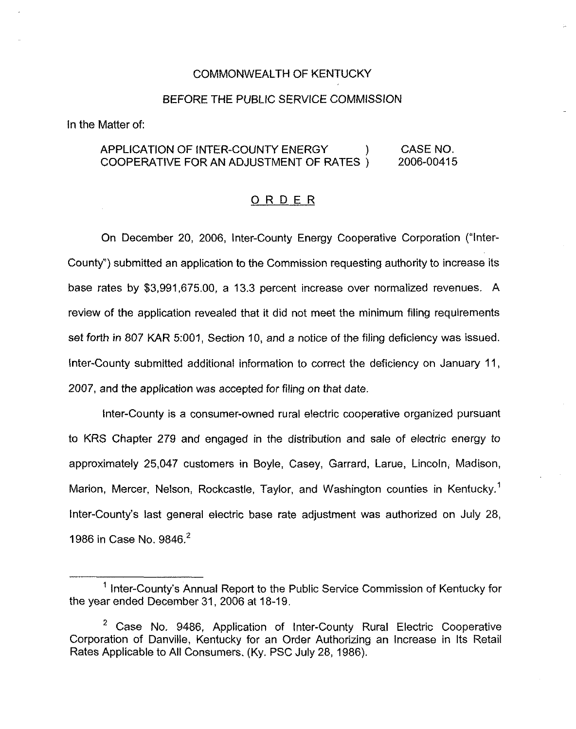#### COMMONWEALTH OF KENTUCKY

#### BEFORE THE PUBLIC SERVICE COMMISSION

In the Matter of:

#### APPLICATION OF INTER-COUNTY ENERGY COOPERATIVE FOR AN ADJUSTMENT OF RATES ) CASE NO. 2006-00415

## ORDER

On December 20, 2006, Inter-County Energy Cooperative Corporation ("Inter-County") submitted an application to the Commission requesting authority to increase its base rates by \$3,991,675.00, a 13.3 percent increase over normalized revenues. <sup>A</sup> review of the application revealed that it did not meet the minimum filing requirements set forth in 807 KAR 5:001, Section 10, and a notice of the filing deficiency was issued. Inter-County submitted additional information to correct the deficiency on January 11, 2007, and the application was accepted for filing on that date.

Inter-County is a consumer-owned rural electric cooperative organized pursuant to KRS Chapter 279 and engaged in the distribution and sale of electric energy to approximately 25,047 customers in Boyle, Casey, Garrard, Larue, Lincoln, Madison, Marion, Mercer, Nelson, Rockcastle, Taylor, and Washington counties in Kentucky.<sup>1</sup> Inter-County's last general electric base rate adjustment was authorized on July 28, 1986 in Case No. 9846.'

<sup>&</sup>lt;sup>1</sup> Inter-County's Annual Report to the Public Service Commission of Kentucky for the year ended December 31, 2006 at 18-19.

<sup>&</sup>lt;sup>2</sup> Case No. 9486, Application of Inter-County Rural Electric Cooperative Corporation of Danville, Kentucky for an Order Authorizing an Increase in Its Retail Rates Applicable to All Consumers. (Ky. PSC July 28, 1986).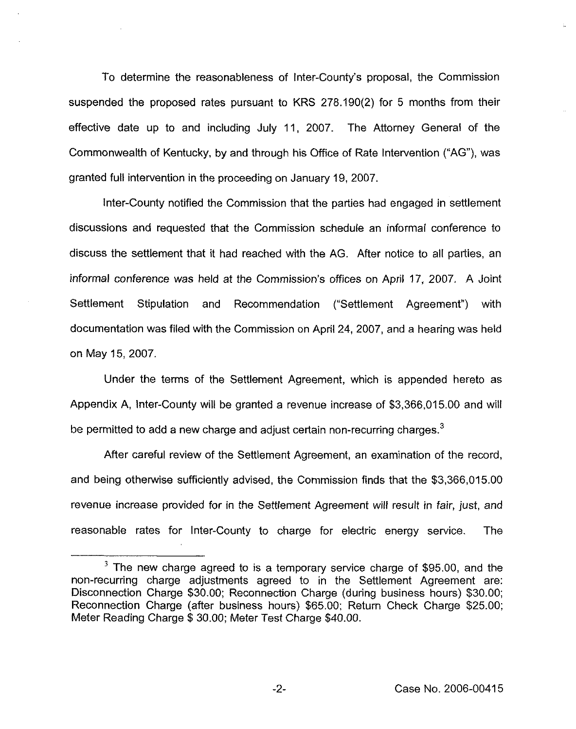To determine the reasonableness of Inter-County's proposal, the Commission suspended the proposed rates pursuant to KRS 278.190(2) for 5 months from their effective date up to and including July 11, 2007. The Attorney General of the Commonwealth of Kentucky, by and through his Office of Rate Intervention ("AG"), was granted full intervention in the proceeding on January 19, 2007.

Inter-County notified the Commission that the parties had engaged in settlement discussions and requested that the Commission schedule an informal conference to discuss the settlement that it had reached with the AG. After notice to all parties, an informal conference was held at the Commission's offices on April 17, 2007. A Joint Settlement Stipulation and Recommendation ("Settlement Agreement" ) with documentation was filed with the Commission on April 24, 2007, and a hearing was held on May 15, 2007.

Under the terms of the Settlement Agreement, which is appended hereto as Appendix A, Inter-County will be granted a revenue increase of \$3,366,015.00 and will be permitted to add a new charge and adjust certain non-recurring charges. $3$ 

After careful review of the Settlement Agreement, an examination of the record, and being otherwise sufficiently advised, the Commission finds that the \$3,366,015.00 revenue increase provided for in the Settlement Agreement will result in fair, just, and reasonable rates for Inter-County to charge for electric energy service. The

÷.

 $-2-$ 

 $3$  The new charge agreed to is a temporary service charge of \$95.00, and the non-recurring charge adjustments agreed to in the Settlement Agreement are: Disconnection Charge \$30.00; Reconnection Charge (during business hours) \$30.00; Reconnection Charge (after business hours) \$65.00; Return Check Charge \$25.00; Meter Reading Charge \$ 30.00; Meter Test Charge \$40.00.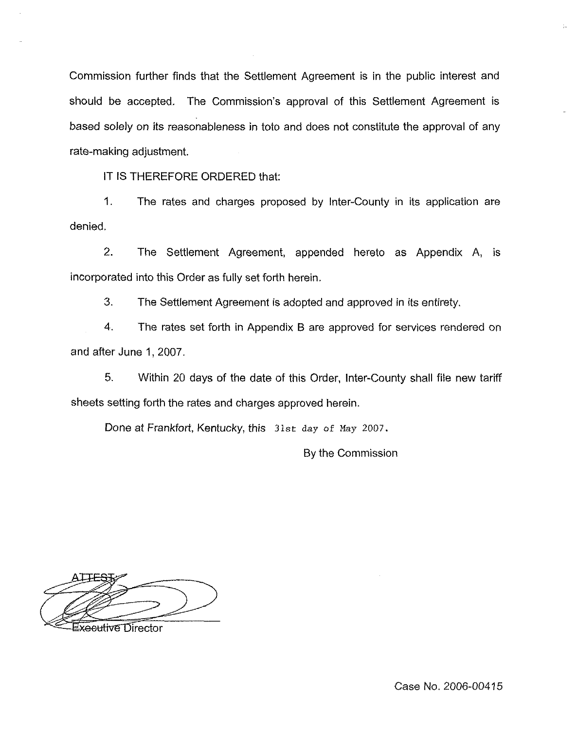Commission further finds that the Settlement Agreement is in the public interest and should be accepted. The Commission's approval of this Settlement Agreement is based solely on its reasonableness in toto and does not constitute the approval of any rate-making adjustment.

IT IS THEREFORE ORDERED that:

1. The rates and charges proposed by Inter-County in its application are denied.

2. The Settlement Agreement, appended hereto as Appendix A, is incorporated into this Order as fully set forth herein.

3. The Settlement Agreement is adopted and approved in its entirety.

4. The rates set forth in Appendix B are approved for services rendered on and after June 1, 2007.

5. Within 20 days of the date of this Order, Inter-County shall file new tariff sheets setting forth the rates and charges approved herein.

Done at Frankfort, Kentucky, this 31st day of May 2007.

By the Commission

**Xecutive Director** 

Case No. 2006-00415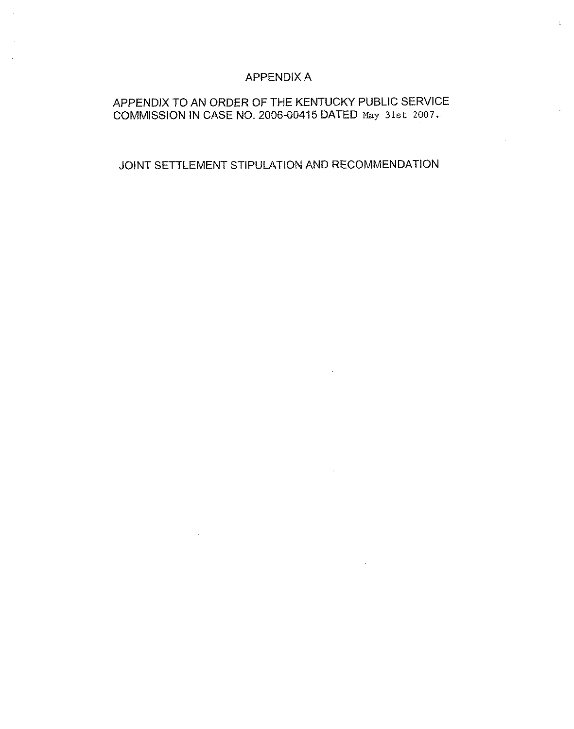## APPENDIX A

APPENDIX TO AN ORDER OF THE KENTUCKY PUBLIC SERVICE COMMISSION IN CASE NO. 2006-00415 DATED Nay 31st 2007.

JOINT SETTLEMENT STIPULATION AND RECOMMENDATION

 $\mathcal{A}$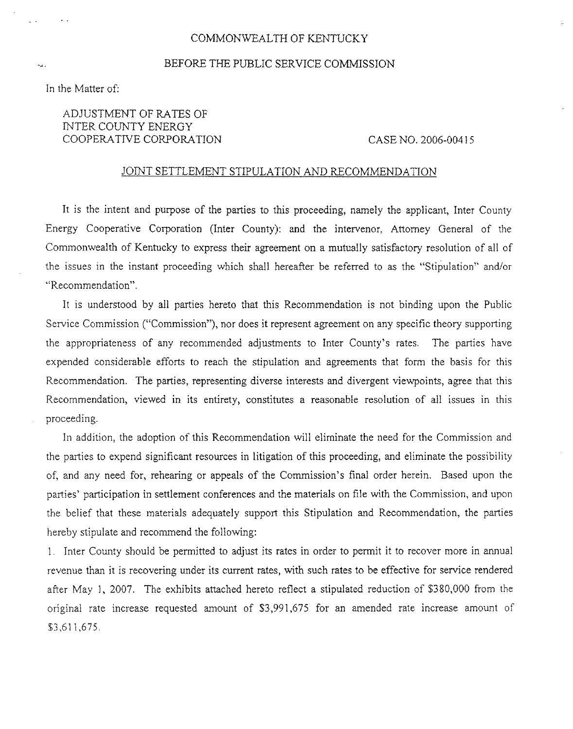## COMMONWEALTH OF KENTUCKY

#### BEFORE THE PUBLIC SERVICE COMMISSION

In the Matter of:

 $\sim$  4  $\,$ 

## ADJUSTMENT OF RATES OF INTER COUNTY ENERGY COOPERATIVE CORPORATION CASE NO. 2006-00415

#### JOINT SETTLEMENT STIPULATION AND RECOMMENDATION

It is the intent and purpose of the parties to this proceeding, namely the applicant, Inter County Energy Cooperative Corporation (Inter County): and the intervenor, Attorney General of the Commonwealth of Kentucky to express their agreement on a mutually satisfactory resolution of al! of the issues in the instant proceeding which shall hereafter be referred to as the "Stipulation" and/or "Recommendation".

It is understood by all parties hereto that this Recommendation is not binding upon the Public Service Commission ("Commission"), nor does it represent agreement on any specific theory supporting the appropriateness of any recommended adjustments to Inter County's rates. The parties have expended considerable efforts to reach the stipulation and agreements that form the basis for this Recommendation. The parties, representing diverse interests and divergent viewpoints, agree that this Recommendation, viewed in its entirety, constitutes a reasonable resolution of all issues in this proceeding.

In addition, the adoption of this Recommendation will eliminate the need for the Commission and the parties to expend significant resources in litigation of this proceeding, and eliminate the possibility of, and any need for, rehearing or appeals of the Commission's final order herein. Based upon the parties' participation in settlement conferences and the materials on file with the Commission, and upon the belief that these materials adequately support this Stipulation and Recommendation, the parties hereby stipulate and recommend the following:

l. Inter County should be permitted to adjust its rates in order to permit it to recover more in annual revenue than it is recovering under its current rates, with such rates to be effective for service rendered after May 1, 2007. The exhibits attached hereto reflect a stipulated reduction of \$380,000 from the original rate increase requested amount of \$3,991,675 for an amended rate increase amount of \$ 3,611,675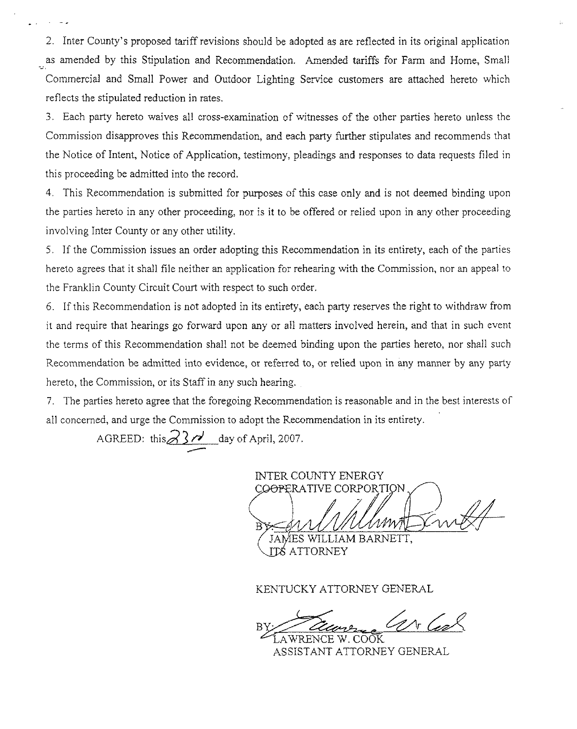2. Inter County's proposed tariff revisions should be adopted as are reflected in its original application as amended by this Stipulation and Recommendation. Amended tariffs for Farm and Home, Small Commercial and Small Power and Outdoor Lighting Service customers are attached hereto which refiects the stipulated reduction in rates.

3, Each party hereto waives all cross-examination of witnesses of the other parties hereto unless the Commission disapproves this Recommendation, and each party further stipulates and recommends that the Notice of Intent, Notice of Application, testimony, pleadings and responses to data requests filed in this proceeding be admitted into the record.

4, This Recommendation is submitted for purposes of this case only and is not deemed binding upon the parties hereto in any other proceeding, nor is it to be offered or relied upon in any other proceeding involving Inter County or any other utility,

5. If the Commission issues an order adopting this Recommendation in its entirety, each of the parties hereto agrees that it shall file neither an application for rehearing with the Commission, nor an appeal to the Franklin County Circuit Court with respect to such order.

6. If this Recommendation is not adopted in its entirety, each party reserves the right to withdraw from it and require that hearings go forward upon any or all matters involved herein, and that in such event the terms of this Recommendation shall not be deemed binding upon the parties hereto, nor shall such Recommendation be admitted into evidence, or referred to, or relied upon in any manner by any party hereto, the Commission, or its Staff in any such hearing.

7. The parties hereto agree that the foregoing Recommendation is reasonable and in the best interests of all concerned, and urge the Commission to adopt the Recommendation in its entirety.

AGREED: this  $32$  day of April, 2007.

INTER COUNTY ENERGY COOPERATIVE CORPORTION

JAMES WILLIAM BARNETT,<br>ITS ATTORNEY

KENTUCKY ATTORNEY GENERAL

B.

LAWRENCE W. COOK ASSISTANT ATTORNEY GENERAL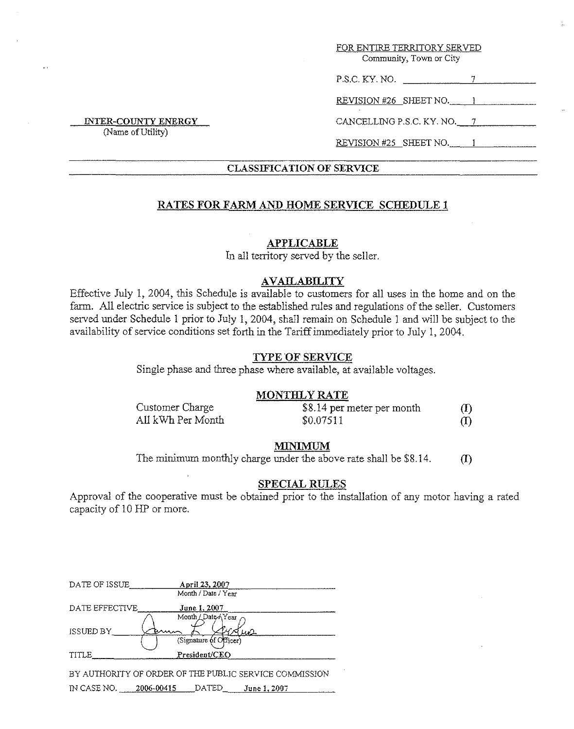P.S,C.KY. NO.  $\begin{array}{c|c} 7 & \text{ } \end{array}$ 

REVISION #26 SHEET NO. 1

CANCELLING P.S.C.KY. NO. 7

INTER-COUNTY ENERGY

(Name of Utility)

REVISION #25 SHEET NO. 1

#### CLASSIFICATION OF SERVICE

## RATES FOR FARM AND HOME SERVICE SCHEDULE I

## **APPLICABLE**

In all territory served by the seller.

#### AVAILABILITY

Effective July I, 2004, this Schedule is available to customers for all uses in the horne and on the farm. All electric service is subject to the established rules and regulations of the seller. Customers served under Schedule I prior to July I, 2004, shall remain on Schedule I and will be subject to the availability of service conditions set forth in the Tariff immediately prior to July I, 2004.

#### TYPE OF SERVICE

Single phase and three phase where available, at available voltages.

#### MONTHLY RATE

Customer Charge AII kWh Per Month

| \$8.14 per meter per month | $\Omega$                 |
|----------------------------|--------------------------|
| \$0.07511                  | $\left( \bigcap \right)$ |

#### **MINIMUM**

The minimum monthly charge under the above rate shall be  $$8.14.$  (I)

#### SPECIAL RULES

Approval of the cooperative must be obtained prior to the installation of any motor having a rated capacity of 10 HP or more.

| DATE OF ISSUE    | April 23, 2007                                         |
|------------------|--------------------------------------------------------|
|                  | Month / Date / Year                                    |
| DATE EFFECTIVE   | June 1, 2007                                           |
|                  | Month / Date A Year                                    |
| <b>ISSUED BY</b> | لأنفعا                                                 |
|                  | (Signature of Officer)                                 |
| TITLE            | President/CEO                                          |
|                  |                                                        |
|                  | BY AUTHORITY OF ORDER OF THE PUBLIC SERVICE COMMISSION |
| IN CASE NO.      | <b>DATED</b><br>2006-00415<br>June 1, 2007             |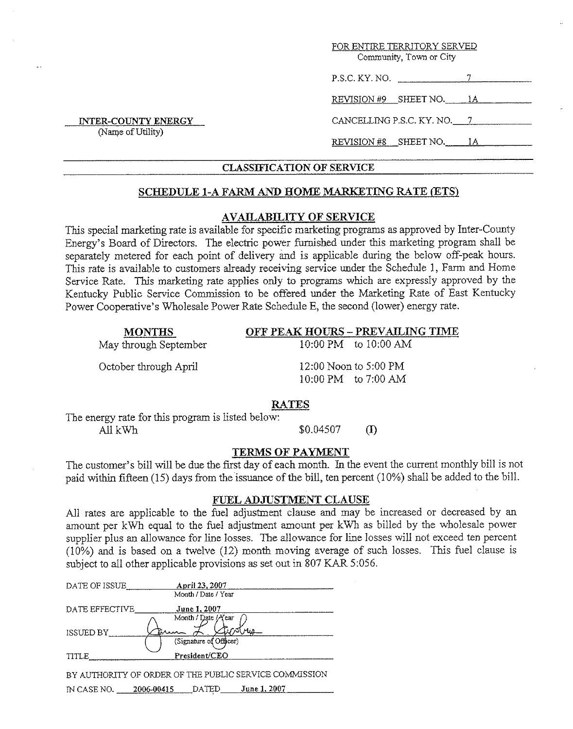$7\overline{ }$ P.S.C.KY. NO.

REVISION #9 SHEET NO. 1A

CANCELLING P.S.C. KY. NO. 7

REVISION #8 SHEET NO. 1A

INTER-COUNTY ENERGY

(Name of Utility)

## CLASSIFICATION OF SERVICE

## SCHEDULE 1-A FARM AND HOME MARKETING RATE (ETS)

## AVAILABILITY OF SERVICE

This special marketing rate is available For specific marketing programs as approved by Inter-County Energy's Board of Directors. The electric power furnished under this marketing program shall be separately metered for each point of delivery and is applicable during the below off-peak hours. This rate is available to customers already receiving service under the Schedule 1, Farm and Home Service Rate. This marketing rate applies only to programs which are expressly approved by the Kentucky Public Service Commission to be offered under the Marketing Rate of East Kentucky Power Cooperative's Wholesale Power Rate Schedule E, the second (lower) energy rate.

| <b>MONTHS</b>         | <b>OFF PEAK HOURS - PREVAILING TIME</b>        |
|-----------------------|------------------------------------------------|
| May through September | 10:00 PM to $10:00$ AM                         |
| October through April | 12:00 Noon to $5:00$ PM<br>10:00 PM to 7:00 AM |

## RATES

The energy rate for this program is listed below: All kWh  $$0.04507$  (I)

## TERMS OF PAYMENT

The customer's bill will be due the first day of each month. In the event the current monthly bill is not paid within fifteen  $(15)$  days from the issuance of the bill, ten percent  $(10\%)$  shall be added to the bill.

#### FUEL ADJUSTMENT CLAUSE

All rates are applicable to the fuel adjustment clause and may be increased or decreased by an amount per kWh equal to the fuel adjustment amount per kWh as billed by the wholesale power supplier plus an allowance for line losses. The allowance for line losses will not exceed ten percent  $(10%)$  and is based on a twelve  $(12)$  month moving average of such losses. This fuel clause is subject to all other applicable provisions as set out in 807 KAR 5:056.

| DATE OF ISSUE  | April 23, 2007                                         |
|----------------|--------------------------------------------------------|
|                | Month / Date / Year                                    |
| DATE EFFECTIVE | June 1, 2007                                           |
|                | Month / Date / Year                                    |
| ISSUED BY      | пN<br>سىم                                              |
|                | (Signature of Officer)                                 |
| TITLE          | President/CEO                                          |
|                |                                                        |
|                | BY AUTHORITY OF ORDER OF THE PUBLIC SERVICE COMMISSION |
| IN CASE NO.    | June 1, 2007<br>2006-00415<br>DATED                    |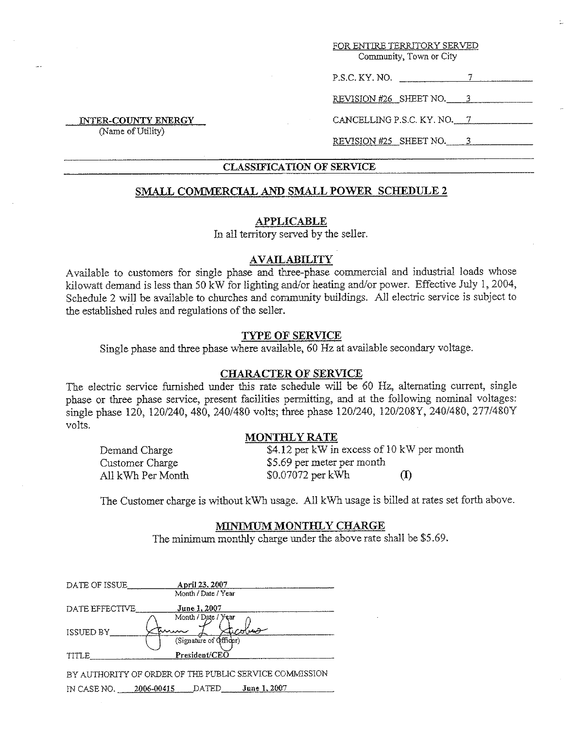$7 \quad \sqrt{2}$ P.S.C.KY. NO.

REVISION #26 SHEET NO. 3

CANCELLING P.S.C. KY. NO. 7

INTER-COUNTY ENERGY

(Name of Utility)

| REVISION #25 SHEET NO. |  |
|------------------------|--|
|------------------------|--|

#### CLASSIFICATION OF SERVICE

#### SMALL COMMERCIAL AND SMALL POWER SCHEDULE 2

#### APPLICABLE

In all territory served by the seller.

#### AVAILABILITY

Available to customers for single phase and three-phase commercial and industrial loads whose kilowatt demand is less than 50 kW for lighting and/or beating and/or power. Effective July 1, 2004, Schedule 2 will be available to churches and community buildings. All electric service is subject to the established rules and regulations of the seller.

#### TYPE OF SERVICE

Single phase and three phase where available, 60 Hz at available secondary voltage.

#### CHARACTER OF SERVICE

The electric service furnished under this rate schedule will be 60 Hz, alternating current, single phase or three phase service, present facilities permitting, and at the following nominal voltages: single phase 120, 120/240, 480, 240/480 volts; three phase 120/240, 120/208Y, 240/480, 277/480Y volts.

Demand Charge Customer Charge All kWh Per Month

#### MONTHLY RATE

\$4.12 per kW in excess of 10 kW per month \$5.69 per meter per month \$0.07072 per kWh  $\left( \mathrm{I}\right)$ 

The Customer charge is without kWh usage. All kWh usage is billed at rates set forth above.

#### MINIMUM MONTHLY CHARGE

The minimum monthly charge under the above rate shall be \$5.69.

| DATE OF ISSUE    | April 23, 2007                                         |
|------------------|--------------------------------------------------------|
|                  | Month / Date / Year                                    |
| DATE EFFECTIVE   | June 1, 2007                                           |
|                  | Month / Date / Year                                    |
| <b>ISSUED BY</b> |                                                        |
|                  | (Signature of Qfficer)                                 |
| TITLE            | President/CEO                                          |
|                  | BY AUTHORITY OF ORDER OF THE PUBLIC SERVICE COMMISSION |
| IN CASE NO.      | June 1, 2007<br>2006-00415<br>DATED                    |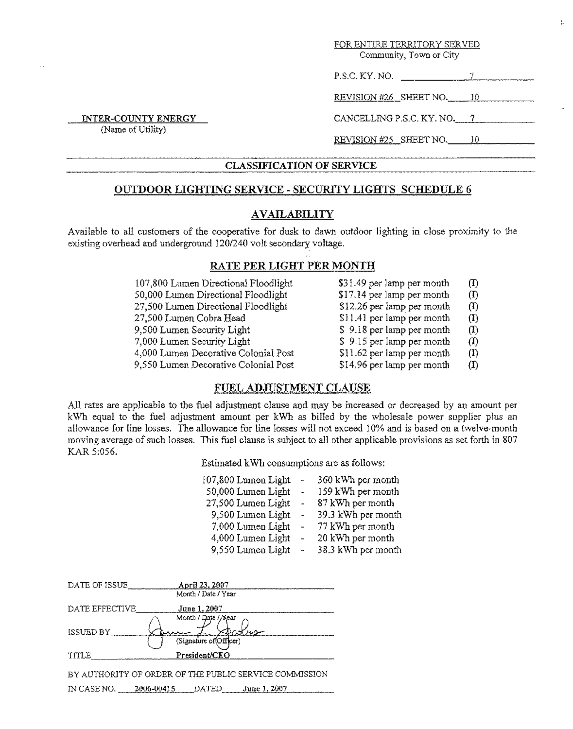P.S.C, KY. NO.

REVISION #26 SHEET NO. 10

CANCELLING P.S.C. KY. NO. 7

LNTER-COUNTY ENERGY

(Name of Utility)

## REVISION #25 SHEET NO. 10

#### CLASSIFICATION OF SERVICE

## OUTDOOR LIGHTING SERVICE - SECURITY LIGHTS SCHEDULE 6

## **AVAILABILITY**

Available to all customers of the cooperative for dusk to dawn outdoor lighting in close proximity to the existing overhead aud underground 120/240 volt secondary voltage.

## RATE PER LIGHT PER MONTH

| 107,800 Lumen Directional Floodlight | \$31.49 per lamp per month | $\mathbf{u}$               |
|--------------------------------------|----------------------------|----------------------------|
| 50,000 Lumen Directional Floodlight  | \$17.14 per lamp per month | $\left( \Gamma \right)$    |
| 27,500 Lumen Directional Floodlight  | \$12.26 per lamp per month | $\left( 0\right)$          |
| 27,500 Lumen Cobra Head              | \$11.41 per lamp per month | $\left( \mathrm{I}\right)$ |
| 9,500 Lumen Security Light           | \$9.18 per lamp per month  | $\left( \mathrm{I}\right)$ |
| 7,000 Lumen Security Light           | \$9.15 per lamp per month  | $\left( \mathrm{D}\right)$ |
| 4,000 Lumen Decorative Colonial Post | \$11.62 per lamp per month | $\left( \Gamma \right)$    |
| 9,550 Lumen Decorative Colonial Post | \$14.96 per lamp per month | $\left( \mathrm{I}\right)$ |

## FUEL ADJUSTMENT CLAUSE

All rates are applicable to the fuel adjustment clause and may be increased or decreased by an amount per kWh equal to the fuel adjustment amount per kWh as billed by the wholesale power supplier plus an allowance for line losses. The allowance for line losses will not exceed 10% and is based on a twelve-month moving average of such losses. This fuel clause is subject to all other applicable provisions as set forth in 807 KAR 5:056.

Estimated kWh consumptions are as follows:

| 107,800 Lumen Light | $\sim$                   | 360 kWh per month  |
|---------------------|--------------------------|--------------------|
| 50,000 Lumen Light  | $\overline{\phantom{a}}$ | 159 kWh per month  |
| 27,500 Lumen Light  | $\ddot{\phantom{1}}$     | 87 kWh per month   |
| 9,500 Lumen Light   | $\sim$                   | 39.3 kWh per month |
| 7,000 Lumen Light   | $\omega$                 | 77 kWh per month   |
| 4,000 Lumen Light   | $\sim$                   | 20 kWh per month   |
| 9,550 Lumen Light   | $\sim$                   | 38.3 kWh per month |

| DATE OF ISSUE    | April 23, 2007                                                      |  |
|------------------|---------------------------------------------------------------------|--|
|                  | Month / Date / Year                                                 |  |
| DATE EFFECTIVE   | June 1, 2007                                                        |  |
|                  | Month / Date / Aear                                                 |  |
| <b>ISSUED BY</b> |                                                                     |  |
|                  | (Signature of (Officer)                                             |  |
| TITLE            | President/CEO                                                       |  |
|                  | וגר/וספה ה גרם סימודת היו חיווים חיוויים חסרתים כוח שינוחרונים ו עם |  |

BY AUTHORITY OF ORDER OF THE PUBLIC SERVICE COMMISSION IN CASE NO. 2006-00415 DATED June 1, 2007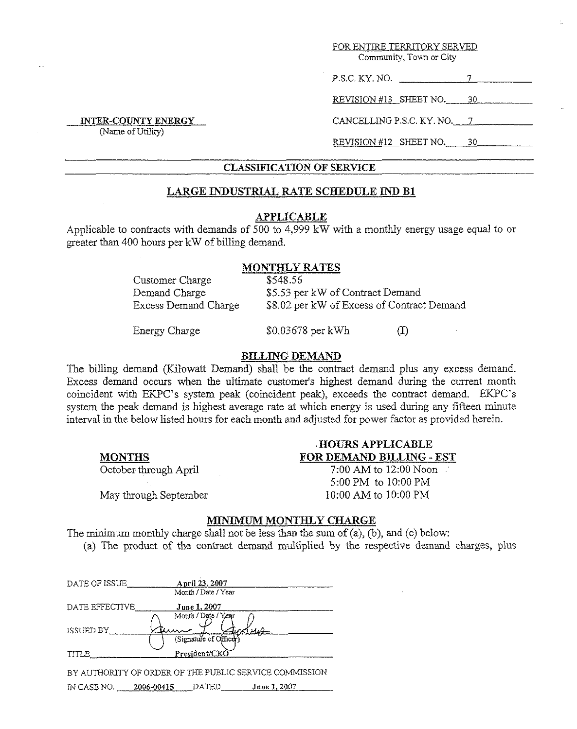P.S.C.KY. NO.

REVISION  $#13$  SHEET NO.  $30$ 

CANCELLING P.S.C.KY. NO. 7

INTER-COUNTY ENERGY

(Name of Utility)

| REVISION #12<br>'NO.<br>SHEET |
|-------------------------------|
|-------------------------------|

#### CLASSIFICATION OF SERVICE

## LARGE INDUSTRIAL RATE SCHEDULE IND BI

## APPLICABLE

Applicable to contracts with demands of 500 to 4,999 kW with a monthly energy usage equal to or greater than 400 hours per kW of billing demand.

### MONTHLY RATES

| Customer Charge      | \$548.56                                   |
|----------------------|--------------------------------------------|
| Demand Charge        | \$5.53 per kW of Contract Demand           |
| Excess Demand Charge | \$8.02 per kW of Excess of Contract Demand |

Energy Charge \$0.03678 per kWh (I)

# BILLING DEMAND

The billing demand (Kilowatt Demand) shall be the contract demand plus any excess demand. Excess demand occurs when the ultimate customer's highest demand during the current month coincident with EKPC's system peak (coincident peak), exceeds the contract demand. EKPC's system the peak demand is highest average rate at which energy is used during any fifteen minute interval in the below listed hours for each montth and adjusted for power factor as provided herein.

## MONTHS

October through April

May through September

## HOURS APPLICABLK FOR DEMAND BILLING - EST

7:00 AM to 12:00 Noon 5:00 PM to 10:00PM 10:00AM to 10:00PM

## MINIMUM MONTHLY CHARGE

The minimum monthly charge shall not be less than the sum of  $(a)$ ,  $(b)$ , and  $(c)$  below:

(a) The product of the contract demand multiphed by the respective demand charges, plus

| DATE OF ISSUE    | April 23, 2007                                         |
|------------------|--------------------------------------------------------|
|                  | Month / Date / Year                                    |
| DATE EFFECTIVE   | June 1, 2007                                           |
|                  | Month / Date / Year                                    |
| <b>ISSUED BY</b> |                                                        |
|                  | (Signature of Office                                   |
| TITLE            | President/CEC                                          |
|                  |                                                        |
|                  | BY AUTHORITY OF ORDER OF THE PUBLIC SERVICE COMMISSION |
| IN CASE NO.      | 2006-00415<br>DATED<br>June 1, 2007                    |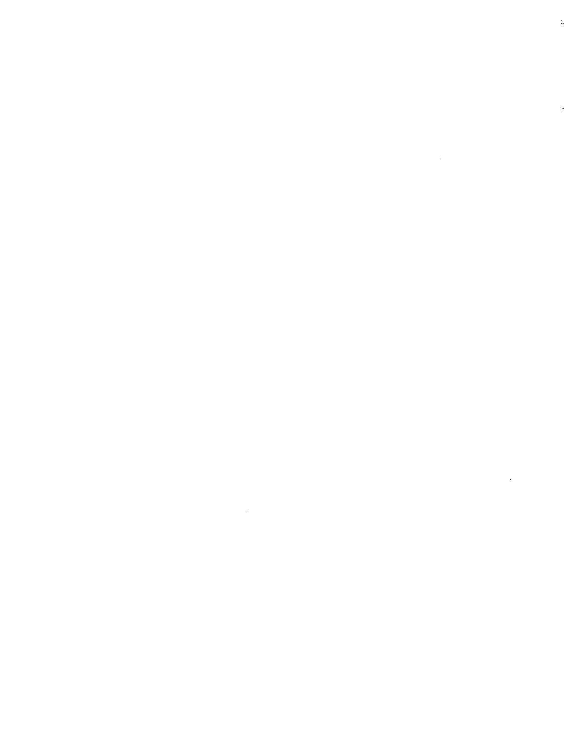$\frac{1}{\hbar}$ 

 $\sim$   $\sigma$ 

 $\mathcal{L}^{\text{max}}_{\text{max}}$  , where  $\mathcal{L}^{\text{max}}_{\text{max}}$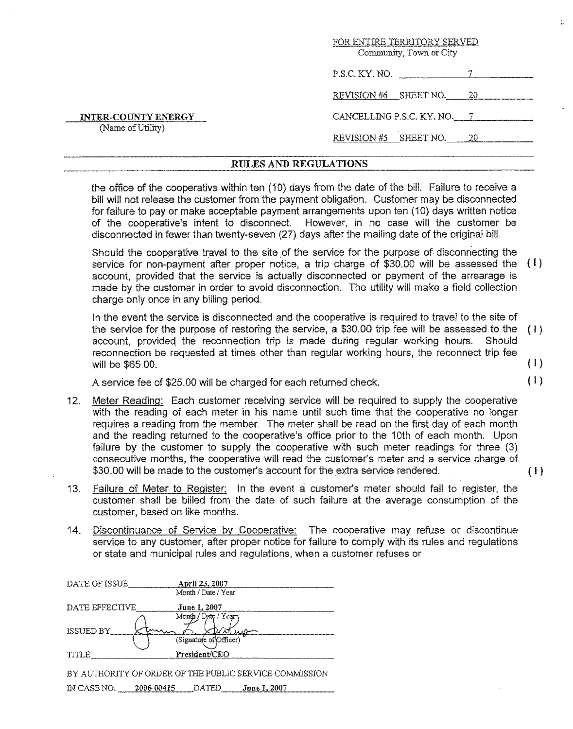|                                                 | FOR ENTIRE TERRITORY SERVED<br>Community, Town or City |  |
|-------------------------------------------------|--------------------------------------------------------|--|
|                                                 | P.S.C. KY. NO.                                         |  |
| <b>INTER-COUNTY ENERGY</b><br>(Name of Utility) | REVISION #6 SHEET NO. 20                               |  |
|                                                 | CANCELLING P.S.C. KY. NO. 7                            |  |
|                                                 | REVISION #5 SHEET NO.<br>-20                           |  |
|                                                 |                                                        |  |

#### RULES AND REGULATIONS

the office of the cooperative within ten (10) days from the date of the bill. Failure to receive a bill will not release the customer from the payment obligation. Customer may be disconnected for failure to pay or make acceptable payment arrangements upon ten (10) days written notice of the cooperative's intent to disconnect. However, in no case will the customer be disconnected in fewer than twenty-seven (27) days after the mailing date of the original bill.

Should the cooperative travel to the site of the service for the purpose of disconnecting the service for non-payment after proper notice, a trip charge of \$30.00 will be assessed the  $\,$  (1) account, provided that the service is actually disconnected or payment of the arrearage is made by the customer in order to avoid disconnection, The utility will make a field collection charge only once in any billing period.

In the event the service is disconnected and the cooperative is required to travel to the site of the service for the purpose of restoring the service, a \$30.00 trip fee will be assessed to the ( I ) account, provided the reconnection trip is made during regular working hours. Should reconnection be requested at times other than regular working hours, the reconnect trip fee will be \$65.00.  $(1)$ 

 $(1)$ 

<sup>A</sup> service fee of \$25.00 will be charged for each returned check.

- 12. Meter Readinq: Each customer receiving service will be required to supply the cooperative with the reading of each meter in his name until such time that the cooperative no longer requires a reading from the member. The meter shall be read on the first day of each month and the reading returned to the cooperative's office prior to the 10th of each month. Upon failure by the customer to supply the cooperative with such meter readings for three (3) consecutive months, the cooperative will read the customer's meter and a service charge of \$30.00 will be made to the customer's account for the extra service rendered. (1)
- 13. Failure of Meter to Reoister: In the event a customer's meter should fail to register, the customer shall be billed from the date of such failure at the average consumption of the customer, based on like months.
- 14. Discontinuance of Service by Cooperative: The cooperative may refuse or discontinue service to any customer, after proper notice for failure to comply with its rules and regulations or state and municipal rules and regulations, when a customer refuses or

| DATE OF ISSUE             | April 23, 2007                                         |
|---------------------------|--------------------------------------------------------|
|                           | Month / Date / Year                                    |
| DATE EFFECTIVE            | June 1, 2007                                           |
|                           | Month / Date / Year                                    |
| <b>ISSUED BY</b>          |                                                        |
|                           | (Signature of)Officer)                                 |
| TITLE                     | President/CEO                                          |
|                           |                                                        |
|                           | BY AUTHORITY OF ORDER OF THE PUBLIC SERVICE COMMISSION |
| IN CASE NO.<br>2006-00415 | June 1, 2007<br>DATED                                  |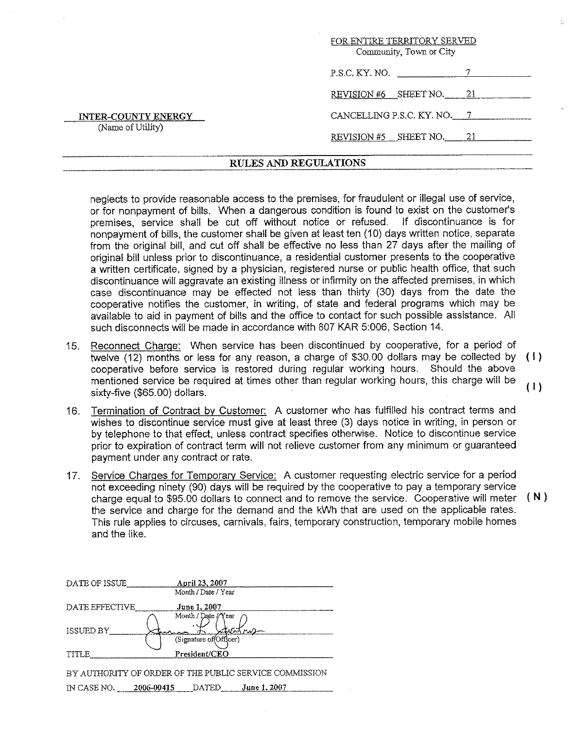|                                                 | FOR ENTIRE TERRITORY SERVED<br>Community, Town or City |      |  |
|-------------------------------------------------|--------------------------------------------------------|------|--|
|                                                 | P.S.C. KY. NO.                                         |      |  |
| <b>INTER-COUNTY ENERGY</b><br>(Name of Utility) | REVISION #6 SHEET NO.                                  | -21  |  |
|                                                 | CANCELLING P.S.C. KY. NO. 7                            |      |  |
|                                                 | REVISION #5 __ SHEET NO.                               | - 21 |  |
|                                                 |                                                        |      |  |

## RULES AND REGULATIONS

negiects to provide reasonable access to the premises, for fraudulent or illegal use of service, or for nonpayment of bills. When a dangerous condition is found to exist on the customer' premises, service shall be cut off without notice or refused. If discontinuance is for nonpayment of bills, the customer shall be given at least ten (10) days written notice, separate from the original bill, and cut off shall be effective no less than 27 days after the mailing of original bill unless prior to discontinuance, a residential customer presents to the cooperative a written certificate, signed by a physician, registered nurse or public health office, that such discontinuance wili aggravate an existing illness or infirmity on the affected premises, in which case discontinuance may be effected not less than thirty (30) days from the date the cooperative notifies the customer, in writing, of state and federal programs which may be available to aid in payment of bills and the office to contact for such possible assistance. All such disconnects will be made in accordance with 807 KAR 5:006, Section 14.

- 15. Reconnect Charge: When service has been discontinued by cooperative, for a period of twelve (12) months or less for any reason, a charge of \$30.00 dollars may be collected by  $(1)$ cooperative before service is restored during regular working hours. Should the above mentioned service be required at times other than regular working hours, this charge will be sixty-five (\$65.00) dollars. (I )
- 16. Termination of Contract by Customer: A customer who has fulfilled his contract terms and wishes to discontinue service must give at least three (3) days notice in writing, in person or by telephone to that effect, unless contract specifies otherwise. Notice to discontinue service prior to expiration of contract term will not relieve customer from any minimum or guaranteed payment under any contract or rate.
- 17. Service Charges for Temporary Service: A customer requesting electric service for a period not exceeding ninety (90) days will be required by the cooperative to pay a temporary service charge equal to \$95.00 dollars to connect and to remove the service. Cooperative will meter  $(N)$ the service and charge for the demand and the kWh that are used on the applicable rates. This rule applies to circuses, carnivals, fairs, temporary construction, temporary mobile homes and the like.

| DATE OF ISSUE          | April 23, 2007                                         |
|------------------------|--------------------------------------------------------|
|                        | Month / Date / Year                                    |
| DATE EFFECTIVE         | June 1, 2007                                           |
|                        | Month / Date / Year                                    |
| ISSUED BY              | مدس                                                    |
|                        | (Signature of Officer)                                 |
| TITLE                  | President/CEO                                          |
|                        |                                                        |
|                        | BY AUTHORITY OF ORDER OF THE PUBLIC SERVICE COMMISSION |
| IN CASE NO. 2006-00415 | June 1, 2007<br>DATED                                  |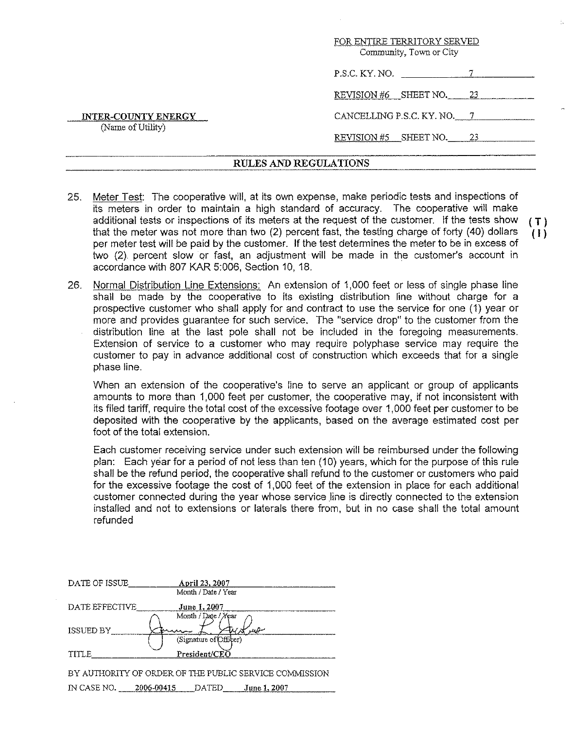|                                                 | FOR ENTIRE TERRITORY SERVED<br>Community, Town or City |
|-------------------------------------------------|--------------------------------------------------------|
|                                                 | P.S.C. KY. NO.                                         |
|                                                 | REVISION #6 SHEET NO. 23                               |
| <b>INTER-COUNTY ENERGY</b><br>(Name of Utility) | CANCELLING P.S.C. KY. NO. 7                            |
|                                                 | REVISION #5 SHEET NO. 23                               |
|                                                 |                                                        |

#### RULES AND REGULATIONS

- 25. Meter Test: The cooperative will, at its own expense, make periodic tests and inspections of its meters in order to maintain a high standard of accuracy. The cooperative will make additional tests or inspections of its meters at the request of the customer. If the tests show that the meter was not more than two (2) percent fast, the testing charge of forty (40) dollars per meter test will be paid by the customer. If the test determines the meter to be in excess of two (2) percent slow or fast, an adjustment will be made in the customer's account in accordance with 807 KAR 5:006, Section 10, 18.
- 26. Normal Distribution Line Extensions: An extension of 1,000 feet or less of single phase line shall be made by the cooperative to its existing distribution line without charge for a prospective customer who shall apply for and contract to use the service for one (1) year or more and provides guarantee for such service. The "service drop" to the customer from the distribution line at the last pole shall not be included in the foregoing measurements. Extension of service to a customer who may require polyphase service may require the customer to pay in advance additional cost of construction which exceeds that for a single phase line.

When an extension of the cooperative's line to serve an applicant or group of applicants amounts to more than 1,000 feet per customer, the cooperative may, if not inconsistent with its filed tariff, require the total cost of the excessive footage over 1,000 feet per customer to be deposited with the cooperative by the applicants, based on the average estimated cost per foot of the total extension.

Each customer receiving service under such extension will be reimbursed under the following plan: Each year for a period of not less than ten (10) years, which for the purpose of this rule shall be the refund period, the cooperative shall refund to the customer or customers who paid for the excessive footage the cost of 1,000 feet of the extension in place for each additional customer connected during the year whose service line is directly connected to the extension installed and not to extensions or laterals there from, but in no case shall the total amount refunded

| DATE OF ISSUE  | April 23, 2007                                         |
|----------------|--------------------------------------------------------|
|                | Month / Date / Year                                    |
| DATE EFFECTIVE | June 1, 2007                                           |
|                | Month / Date / Year                                    |
| ISSUED BY      | ستكهير<br>(Signature of Officer)                       |
| TITLE          | President/CEO                                          |
|                | BY AUTHORITY OF ORDER OF THE PUBLIC SERVICE COMMISSION |
| IN CASE NO.    | - 2006-00415<br>June 1, 2007<br>DATED                  |

 $(T)$  $(1)$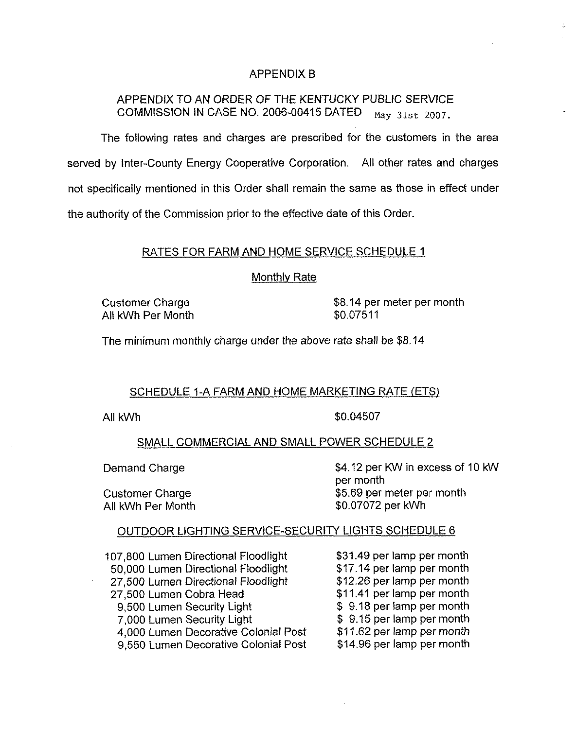#### APPENDIX B

## APPENDIX TO AN ORDER OF THE KENTUCKY PUBLIC SERVICE COMMISSION IN CASE NO, 2006-00415 DATED  $_{\text{Max 31st 2007}}$ .

The following rates and charges are prescribed for the customers in the area served by inter-County Energy Cooperative Corporation. All other rates and charges not specifically mentioned in this Order shall remain the same as those in effect under the authority of the Commission prior to the effective date of this Order.

#### RATES FOR FARM AND HOME SERVICE SCHEDULE <sup>1</sup>

#### Monthly Rate

Customer Charge All kWh Per Month \$8,14 per meter per month \$0.07511

The minimum monthly charge under the above rate shall be \$8.14

## SCHEDULE 1-A FARM AND HOME MARKETING RATE (ETS)

All kWh  $$0.04507$ 

#### SMALL COMMERCIAL AND SMALL POWER SCHEDULE 2

Demand Charge

Customer Charge All kWh Per Month \$4.12 per KW in excess of 10 kW per month \$5.69 per meter per month \$0.07072 per kWh

#### OUTDOOR LIGHTING SERVICE-SECURITY LIGHTS SCHEDULE 6

107,800 Lumen Directional Floodligh 50,000 Lumen Directional Floodligh 27,500 Lumen Directional Floodligh 27,500 Lumen Cobra Head 9,500 Lumen Security Ligh 7,000 Lumen Security Ligh 4,000 Lumen Decorative Colonial Post 9,550 Lumen Decorative Colonial Post

\$31.49 per lamp per month \$17.14 per lamp per month \$12.26 per lamp per month \$11 41 per lamp per month \$9.18 per lamp per month \$9.15 per lamp per month \$11.62 per lamp per month \$14.96 per lamp per month